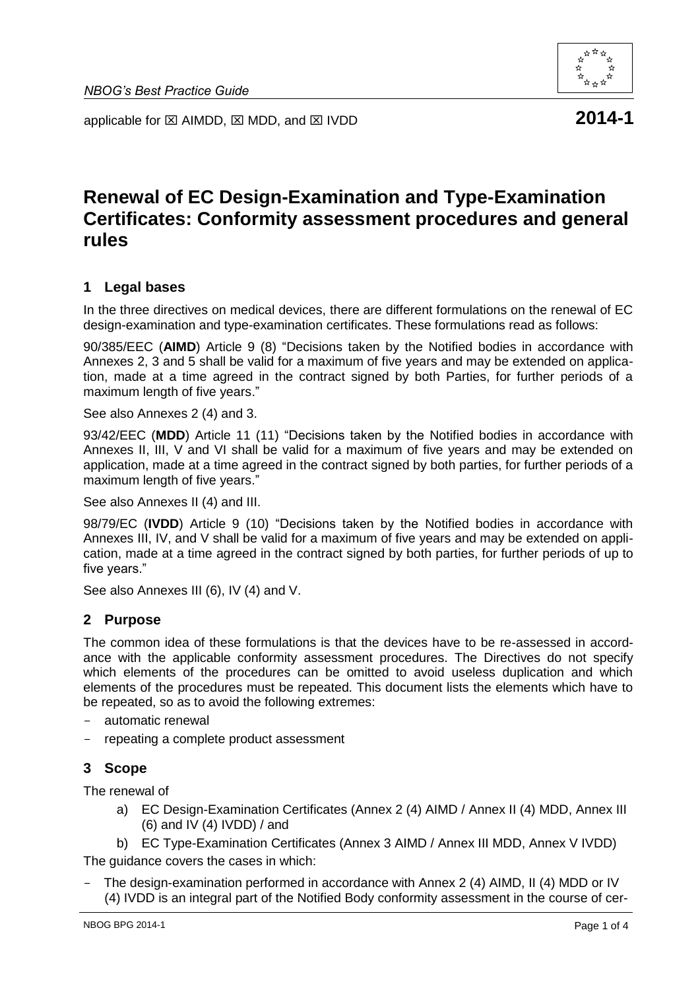

applicable for  $\boxtimes$  AIMDD,  $\boxtimes$  MDD, and  $\boxtimes$  IVDD **2014-1** 

# **Renewal of EC Design-Examination and Type-Examination Certificates: Conformity assessment procedures and general rules**

## **1 Legal bases**

In the three directives on medical devices, there are different formulations on the renewal of EC design-examination and type-examination certificates. These formulations read as follows:

90/385/EEC (**AIMD**) Article 9 (8) "Decisions taken by the Notified bodies in accordance with Annexes 2, 3 and 5 shall be valid for a maximum of five years and may be extended on application, made at a time agreed in the contract signed by both Parties, for further periods of a maximum length of five years."

See also Annexes 2 (4) and 3.

93/42/EEC (**MDD**) Article 11 (11) "Decisions taken by the Notified bodies in accordance with Annexes II, III, V and VI shall be valid for a maximum of five years and may be extended on application, made at a time agreed in the contract signed by both parties, for further periods of a maximum length of five years."

See also Annexes II (4) and III.

98/79/EC (**IVDD**) Article 9 (10) "Decisions taken by the Notified bodies in accordance with Annexes III, IV, and V shall be valid for a maximum of five years and may be extended on application, made at a time agreed in the contract signed by both parties, for further periods of up to five years."

See also Annexes III (6), IV (4) and V.

## **2 Purpose**

The common idea of these formulations is that the devices have to be re-assessed in accordance with the applicable conformity assessment procedures. The Directives do not specify which elements of the procedures can be omitted to avoid useless duplication and which elements of the procedures must be repeated. This document lists the elements which have to be repeated, so as to avoid the following extremes:

- automatic renewal
- repeating a complete product assessment

## **3 Scope**

The renewal of

a) EC Design-Examination Certificates (Annex 2 (4) AIMD / Annex II (4) MDD, Annex III (6) and IV (4) IVDD) / and

b) EC Type-Examination Certificates (Annex 3 AIMD / Annex III MDD, Annex V IVDD) The guidance covers the cases in which:

The design-examination performed in accordance with Annex 2 (4) AIMD, II (4) MDD or IV (4) IVDD is an integral part of the Notified Body conformity assessment in the course of cer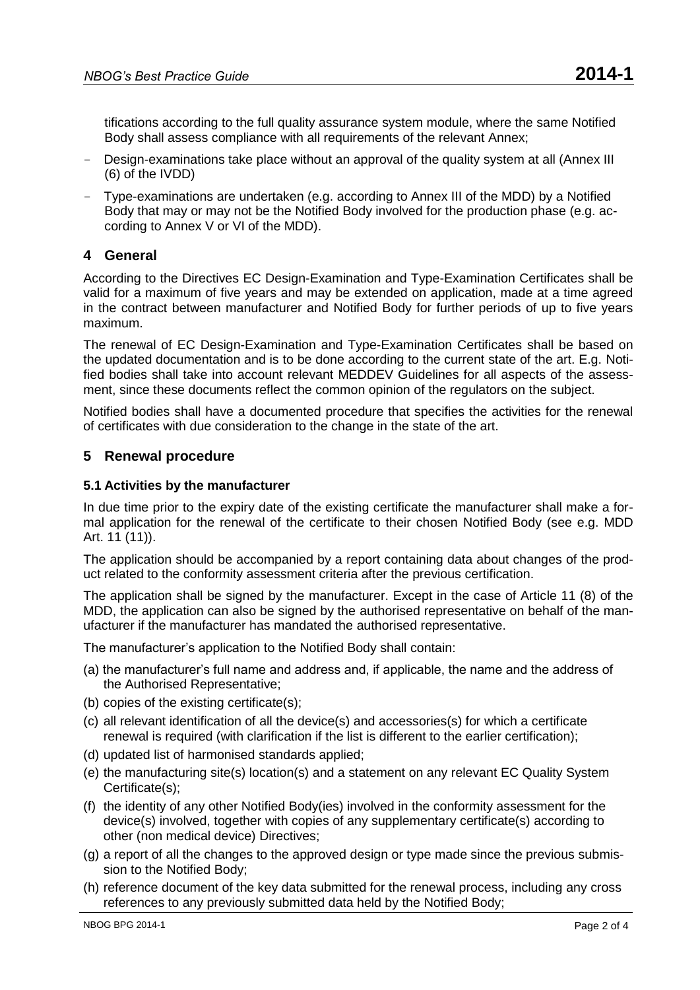tifications according to the full quality assurance system module, where the same Notified Body shall assess compliance with all requirements of the relevant Annex;

- Design-examinations take place without an approval of the quality system at all (Annex III (6) of the IVDD)
- Type-examinations are undertaken (e.g. according to Annex III of the MDD) by a Notified Body that may or may not be the Notified Body involved for the production phase (e.g. according to Annex V or VI of the MDD).

## **4 General**

According to the Directives EC Design-Examination and Type-Examination Certificates shall be valid for a maximum of five years and may be extended on application, made at a time agreed in the contract between manufacturer and Notified Body for further periods of up to five years maximum.

The renewal of EC Design-Examination and Type-Examination Certificates shall be based on the updated documentation and is to be done according to the current state of the art. E.g. Notified bodies shall take into account relevant MEDDEV Guidelines for all aspects of the assessment, since these documents reflect the common opinion of the regulators on the subject.

Notified bodies shall have a documented procedure that specifies the activities for the renewal of certificates with due consideration to the change in the state of the art.

## **5 Renewal procedure**

#### **5.1 Activities by the manufacturer**

In due time prior to the expiry date of the existing certificate the manufacturer shall make a formal application for the renewal of the certificate to their chosen Notified Body (see e.g. MDD Art. 11 (11)).

The application should be accompanied by a report containing data about changes of the product related to the conformity assessment criteria after the previous certification.

The application shall be signed by the manufacturer. Except in the case of Article 11 (8) of the MDD, the application can also be signed by the authorised representative on behalf of the manufacturer if the manufacturer has mandated the authorised representative.

The manufacturer's application to the Notified Body shall contain:

- (a) the manufacturer's full name and address and, if applicable, the name and the address of the Authorised Representative;
- (b) copies of the existing certificate(s);
- (c) all relevant identification of all the device(s) and accessories(s) for which a certificate renewal is required (with clarification if the list is different to the earlier certification);
- (d) updated list of harmonised standards applied;
- (e) the manufacturing site(s) location(s) and a statement on any relevant EC Quality System Certificate(s);
- (f) the identity of any other Notified Body(ies) involved in the conformity assessment for the device(s) involved, together with copies of any supplementary certificate(s) according to other (non medical device) Directives;
- (g) a report of all the changes to the approved design or type made since the previous submission to the Notified Body;
- (h) reference document of the key data submitted for the renewal process, including any cross references to any previously submitted data held by the Notified Body;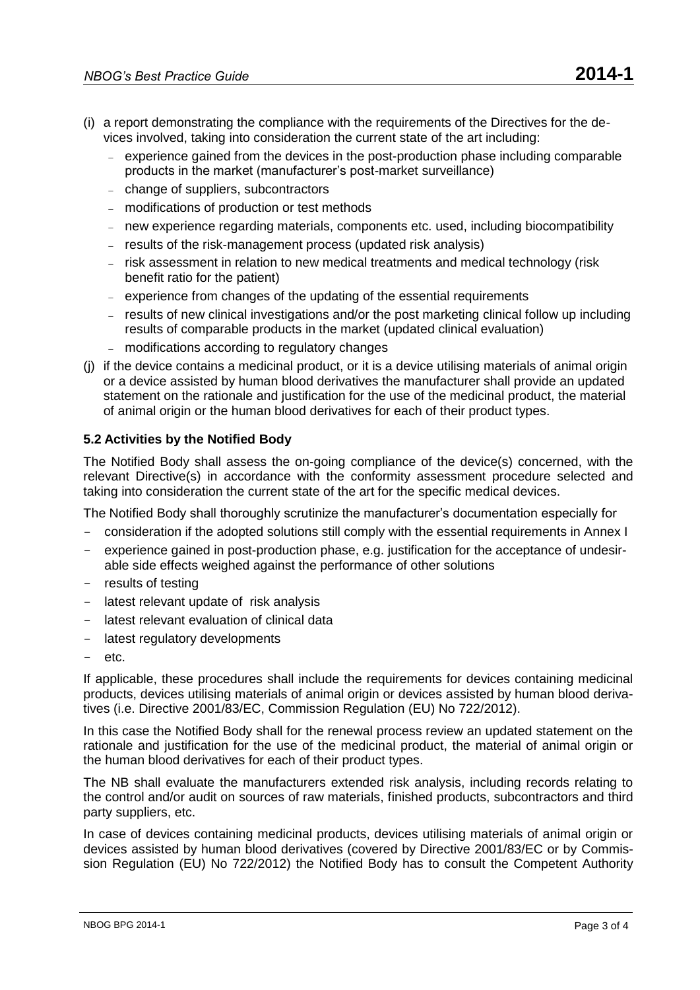- (i) a report demonstrating the compliance with the requirements of the Directives for the devices involved, taking into consideration the current state of the art including:
	- experience gained from the devices in the post-production phase including comparable products in the market (manufacturer's post-market surveillance)
	- change of suppliers, subcontractors
	- modifications of production or test methods
	- new experience regarding materials, components etc. used, including biocompatibility
	- results of the risk-management process (updated risk analysis)
	- risk assessment in relation to new medical treatments and medical technology (risk benefit ratio for the patient)
	- experience from changes of the updating of the essential requirements
	- results of new clinical investigations and/or the post marketing clinical follow up including results of comparable products in the market (updated clinical evaluation)
	- modifications according to regulatory changes
- (j) if the device contains a medicinal product, or it is a device utilising materials of animal origin or a device assisted by human blood derivatives the manufacturer shall provide an updated statement on the rationale and justification for the use of the medicinal product, the material of animal origin or the human blood derivatives for each of their product types.

## **5.2 Activities by the Notified Body**

The Notified Body shall assess the on-going compliance of the device(s) concerned, with the relevant Directive(s) in accordance with the conformity assessment procedure selected and taking into consideration the current state of the art for the specific medical devices.

The Notified Body shall thoroughly scrutinize the manufacturer's documentation especially for

- consideration if the adopted solutions still comply with the essential requirements in Annex I
- experience gained in post-production phase, e.g. justification for the acceptance of undesirable side effects weighed against the performance of other solutions
- results of testing
- latest relevant update of risk analysis
- latest relevant evaluation of clinical data
- latest regulatory developments
- etc.

If applicable, these procedures shall include the requirements for devices containing medicinal products, devices utilising materials of animal origin or devices assisted by human blood derivatives (i.e. Directive 2001/83/EC, Commission Regulation (EU) No 722/2012).

In this case the Notified Body shall for the renewal process review an updated statement on the rationale and justification for the use of the medicinal product, the material of animal origin or the human blood derivatives for each of their product types.

The NB shall evaluate the manufacturers extended risk analysis, including records relating to the control and/or audit on sources of raw materials, finished products, subcontractors and third party suppliers, etc.

In case of devices containing medicinal products, devices utilising materials of animal origin or devices assisted by human blood derivatives (covered by Directive 2001/83/EC or by Commission Regulation (EU) No 722/2012) the Notified Body has to consult the Competent Authority